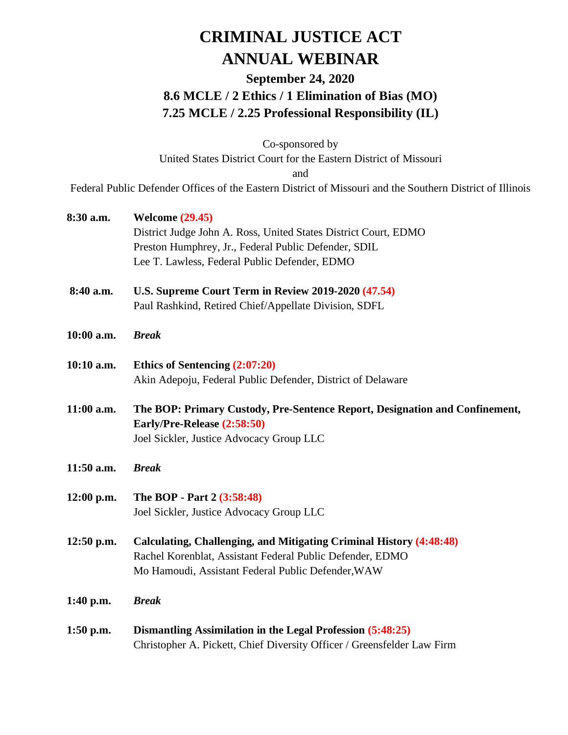## **CRIMINAL JUSTICE ACT ANNUAL WEBINAR**

## **September 24, 2020 8.6 MCLE / 2 Ethics / 1 Elimination of Bias (MO) 7.25 MCLE / 2.25 Professional Responsibility (IL)**

Co-sponsored by United States District Court for the Eastern District of Missouri and

Federal Public Defender Offices of the Eastern District of Missouri and the Southern District of Illinois

| 8:30 a.m.    | <b>Welcome (29.45)</b>                                                      |
|--------------|-----------------------------------------------------------------------------|
|              | District Judge John A. Ross, United States District Court, EDMO             |
|              | Preston Humphrey, Jr., Federal Public Defender, SDIL                        |
|              | Lee T. Lawless, Federal Public Defender, EDMO                               |
| 8:40 a.m.    | U.S. Supreme Court Term in Review 2019-2020 (47.54)                         |
|              | Paul Rashkind, Retired Chief/Appellate Division, SDFL                       |
| 10:00 a.m.   | <b>Break</b>                                                                |
| 10:10 a.m.   | Ethics of Sentencing $(2:07:20)$                                            |
|              | Akin Adepoju, Federal Public Defender, District of Delaware                 |
| 11:00 a.m.   | The BOP: Primary Custody, Pre-Sentence Report, Designation and Confinement, |
|              | Early/Pre-Release (2:58:50)                                                 |
|              | Joel Sickler, Justice Advocacy Group LLC                                    |
| 11:50 a.m.   | <b>Break</b>                                                                |
| $12:00$ p.m. | The BOP - Part 2 (3:58:48)                                                  |
|              | Joel Sickler, Justice Advocacy Group LLC                                    |
| $12:50$ p.m. | Calculating, Challenging, and Mitigating Criminal History (4:48:48)         |
|              | Rachel Korenblat, Assistant Federal Public Defender, EDMO                   |
|              | Mo Hamoudi, Assistant Federal Public Defender, WAW                          |
| $1:40$ p.m.  | <b>Break</b>                                                                |
| $1:50$ p.m.  | Dismantling Assimilation in the Legal Profession (5:48:25)                  |
|              | Christopher A. Pickett, Chief Diversity Officer / Greensfelder Law Firm     |